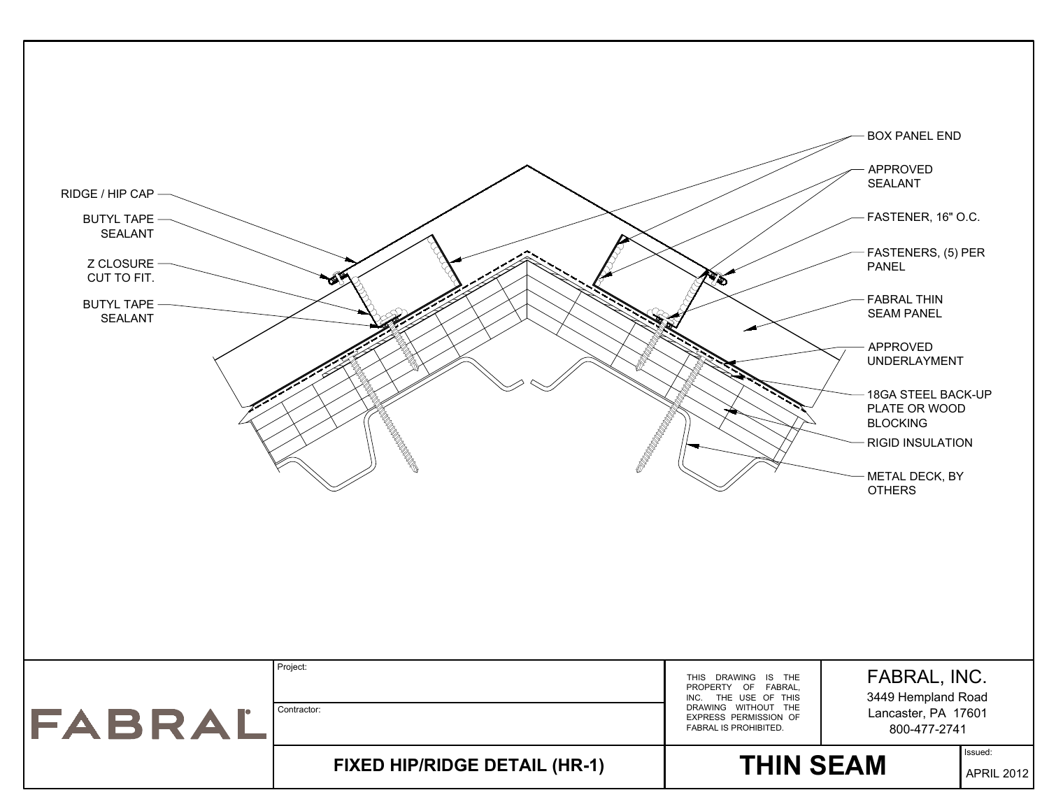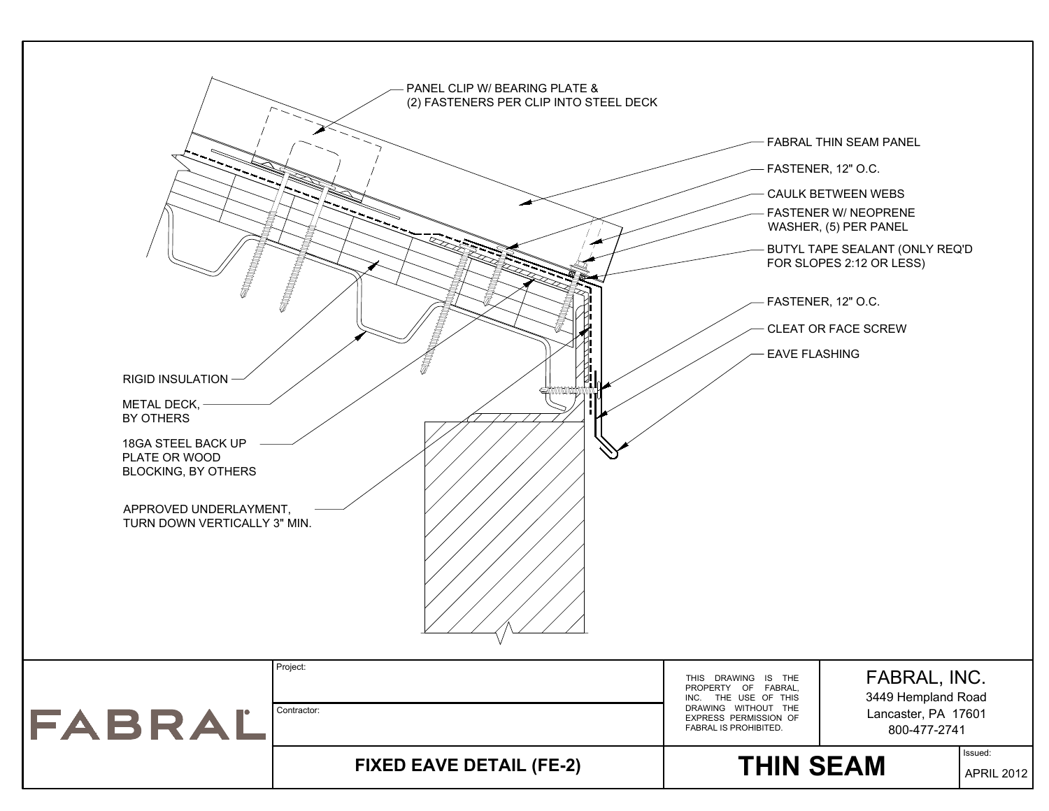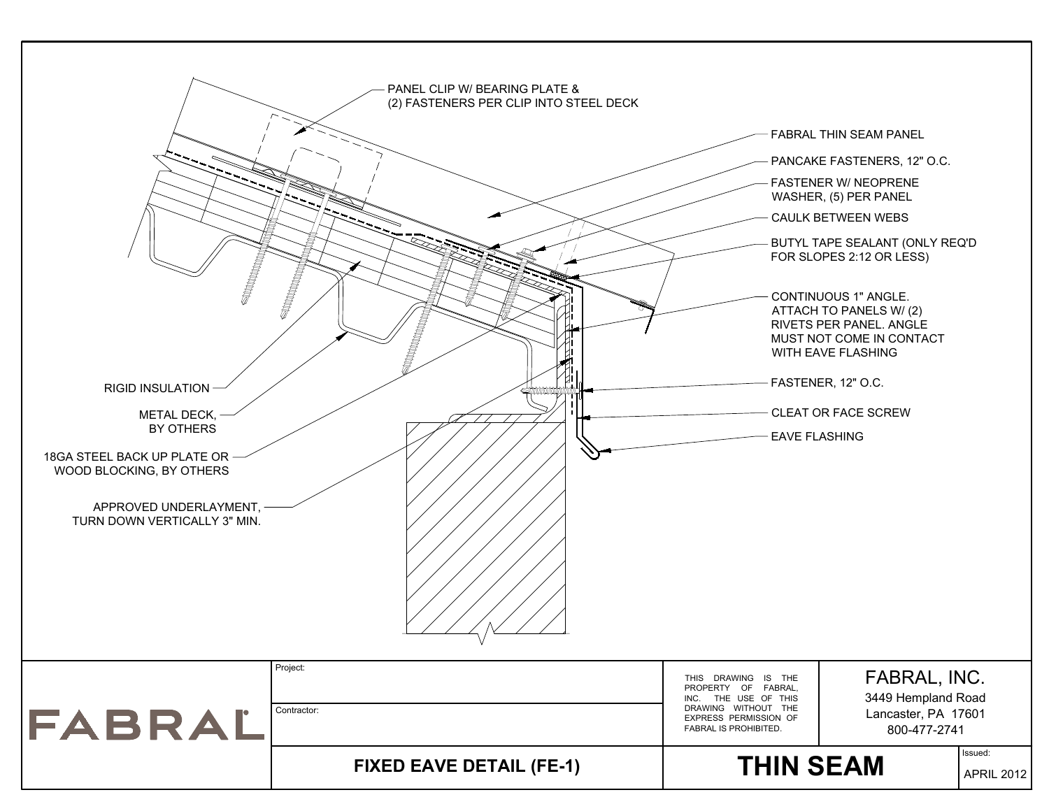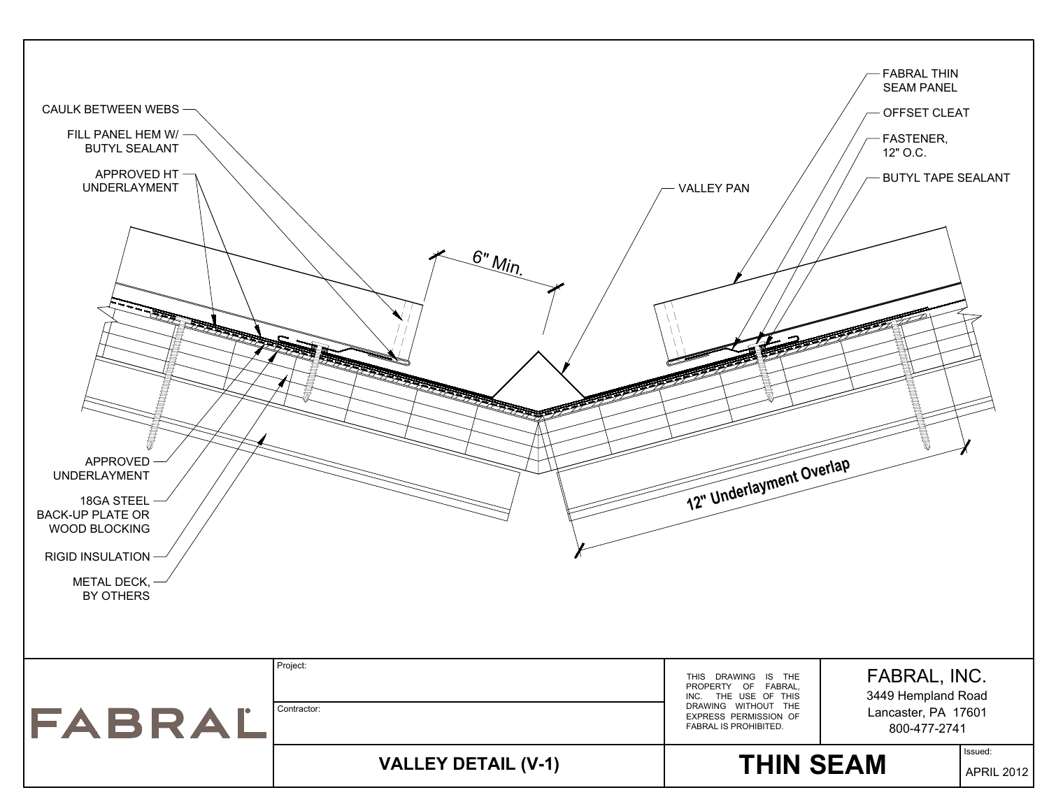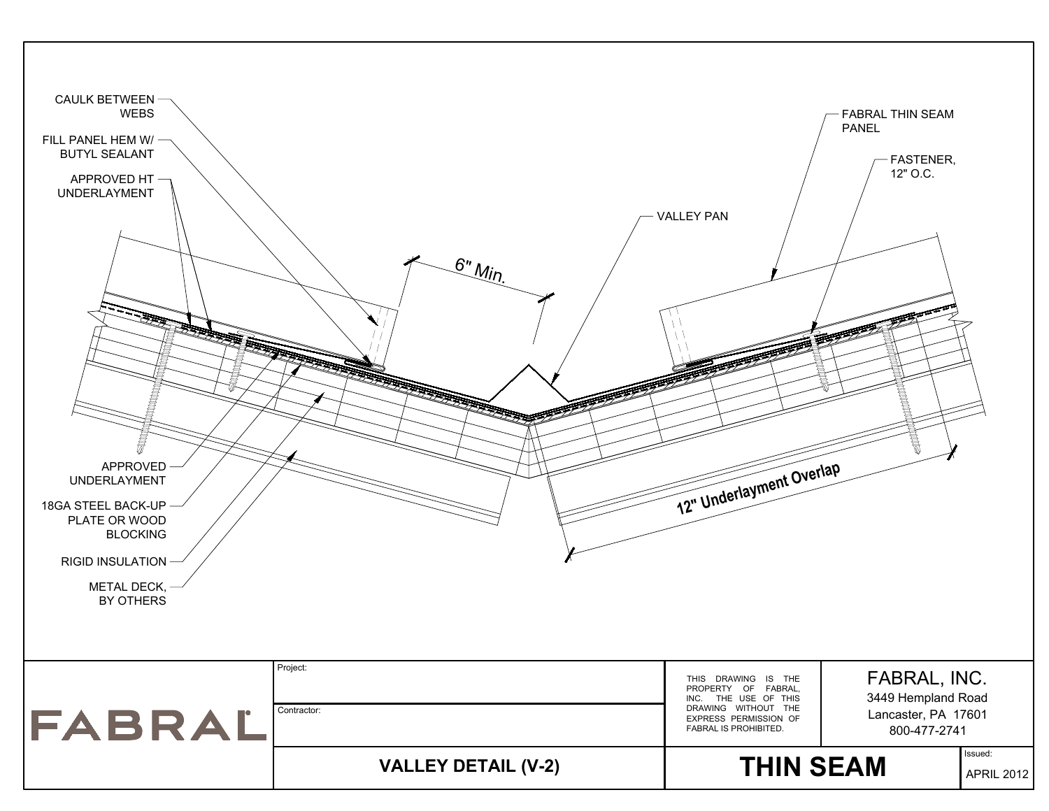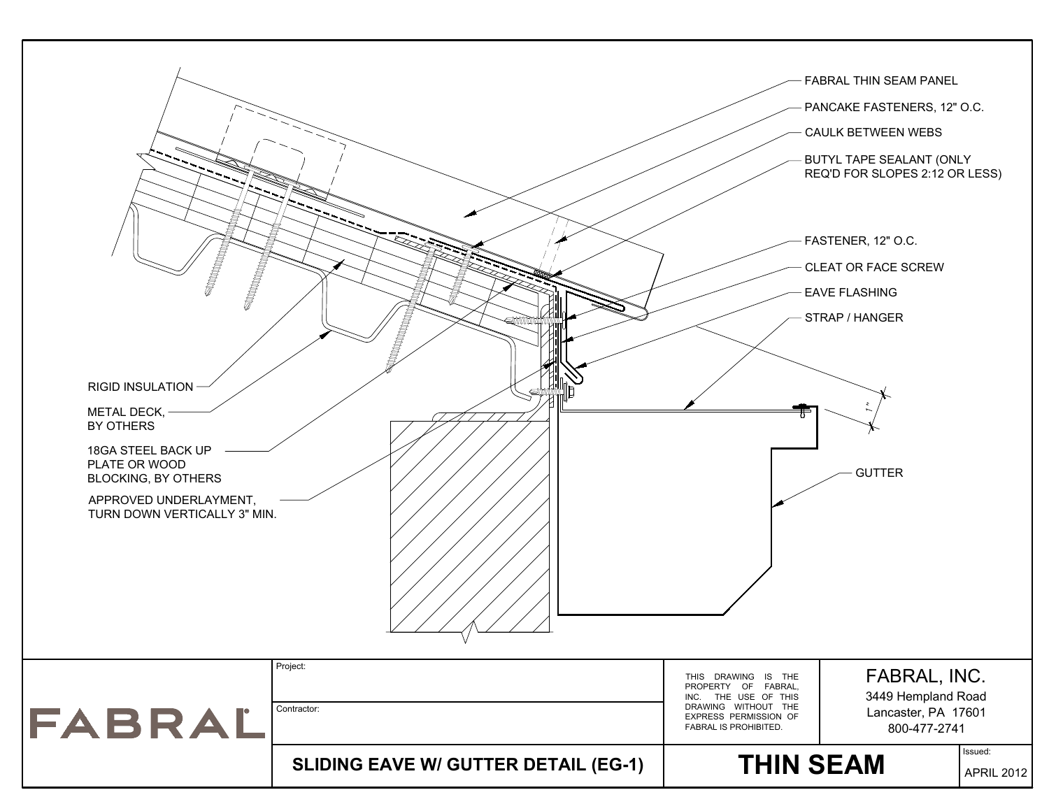![](_page_5_Figure_0.jpeg)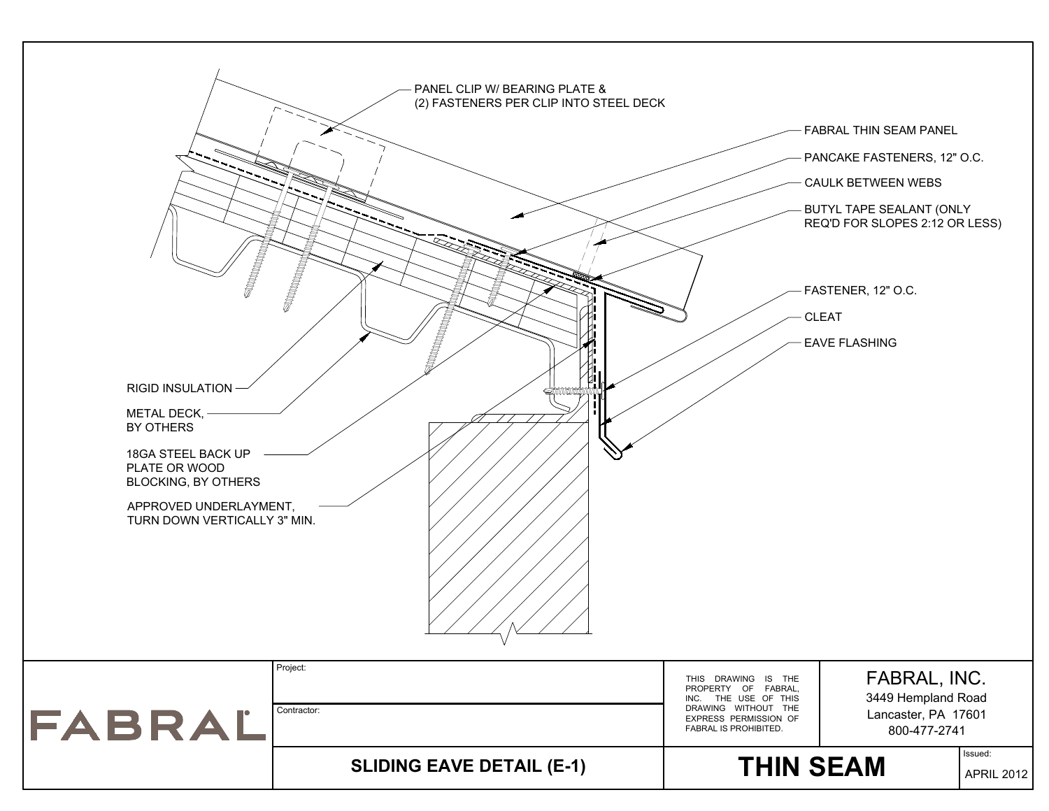![](_page_6_Figure_0.jpeg)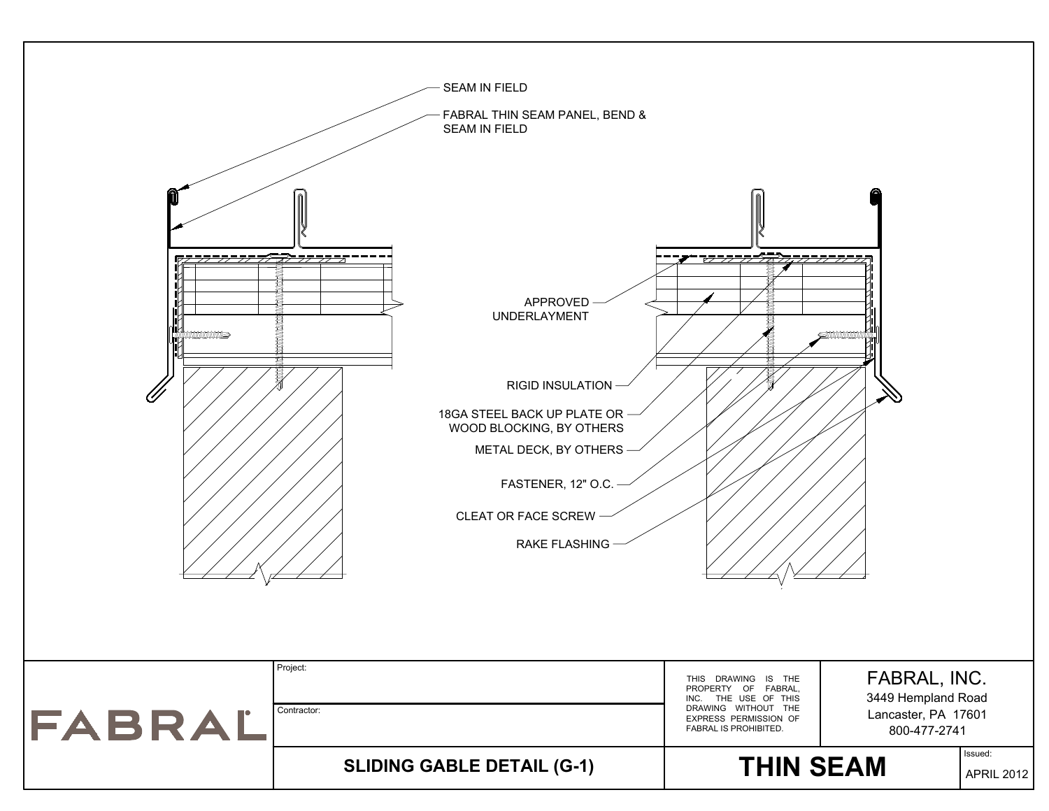![](_page_7_Figure_0.jpeg)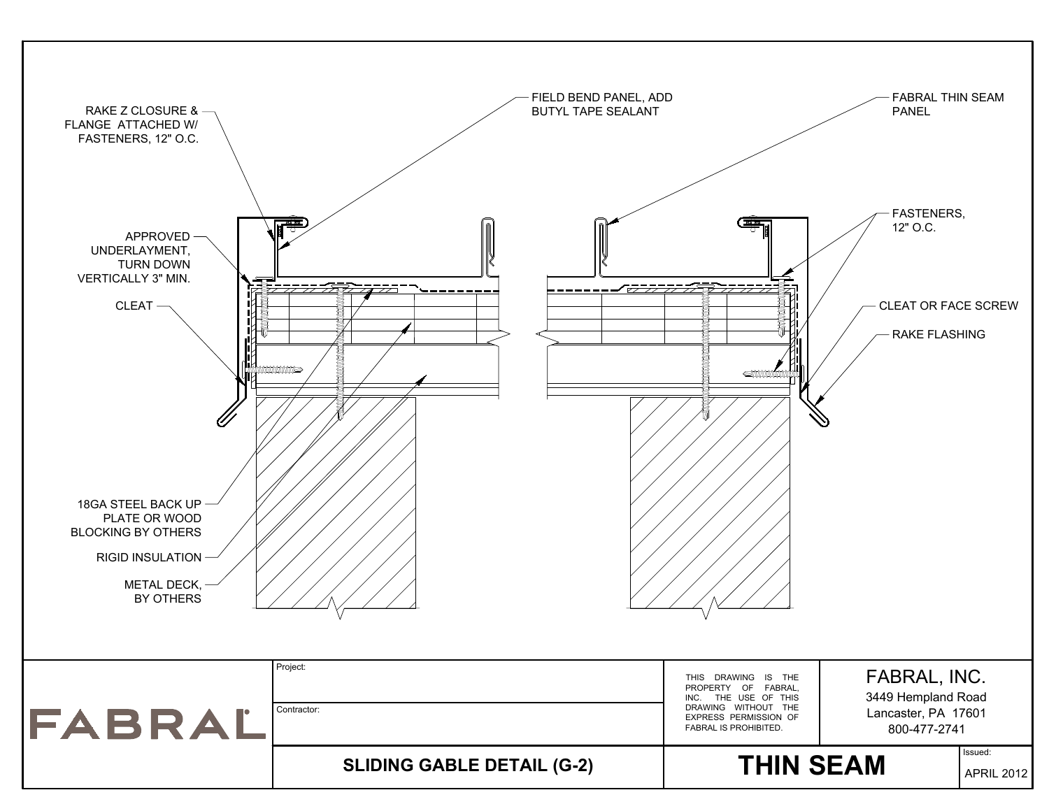![](_page_8_Figure_0.jpeg)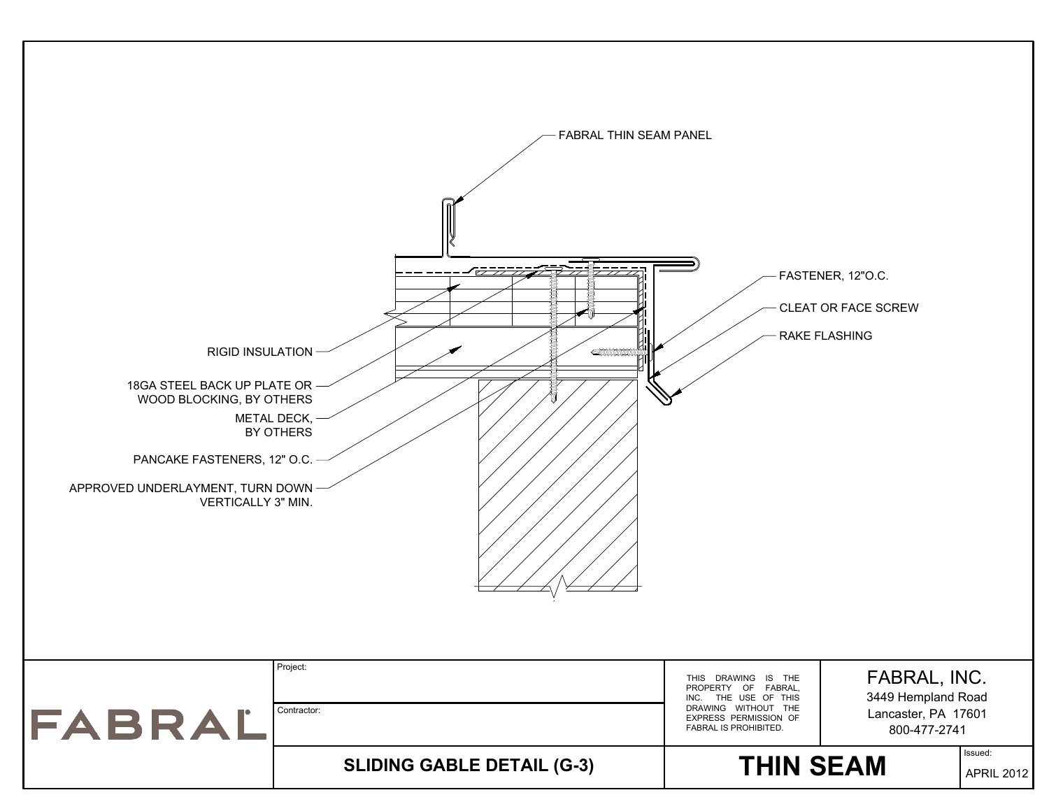![](_page_9_Figure_0.jpeg)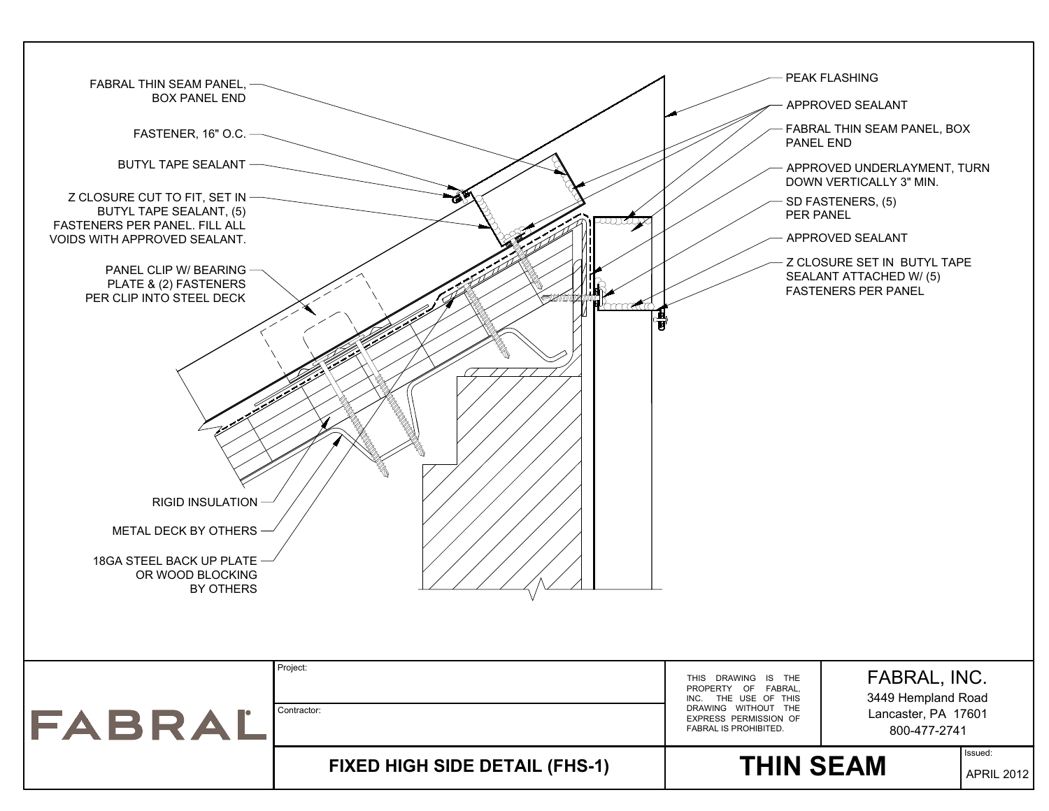![](_page_10_Figure_0.jpeg)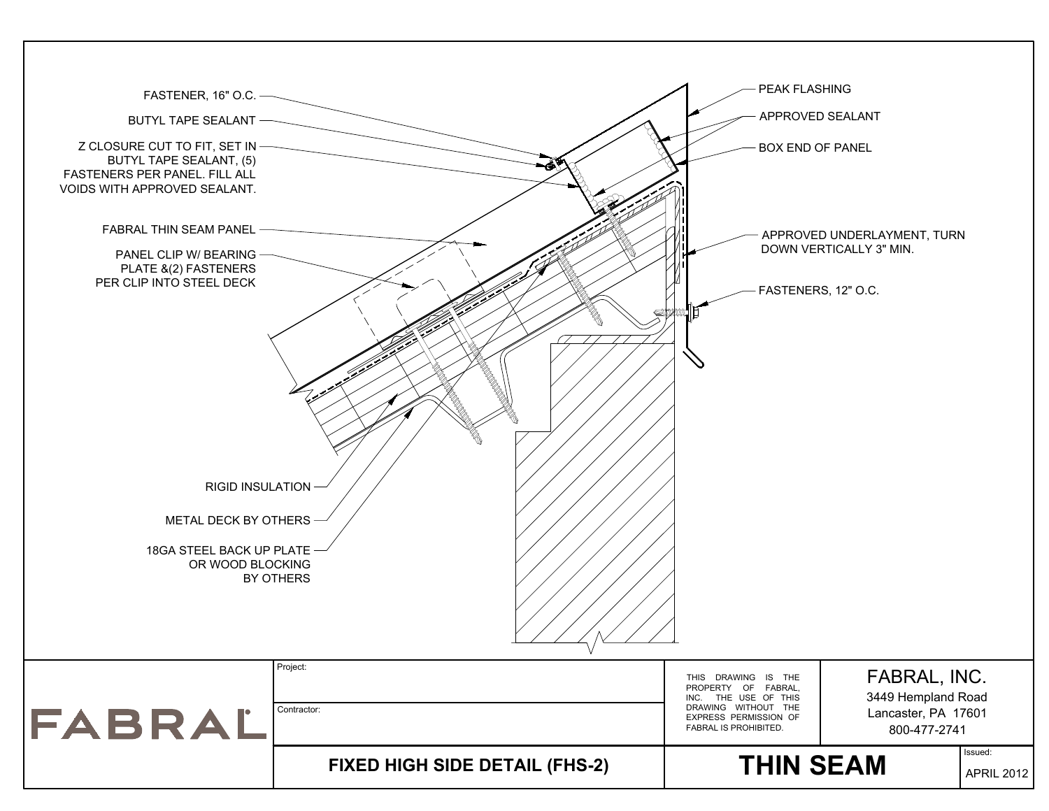![](_page_11_Figure_0.jpeg)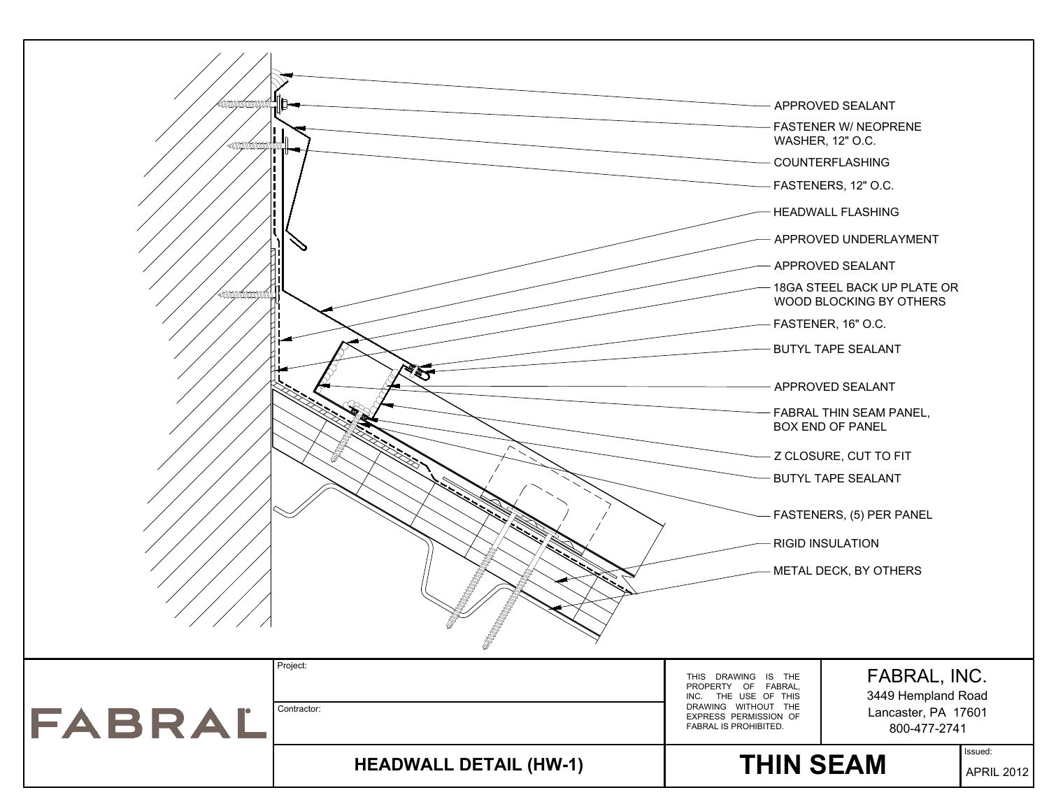![](_page_12_Figure_0.jpeg)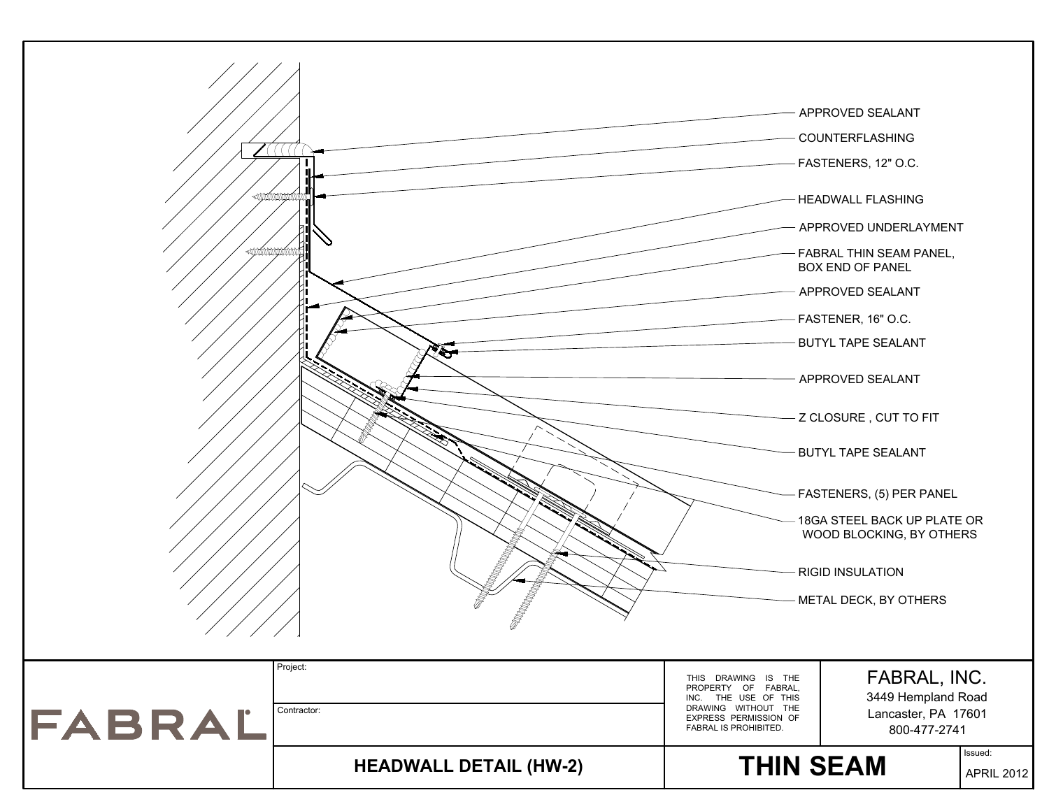![](_page_13_Figure_0.jpeg)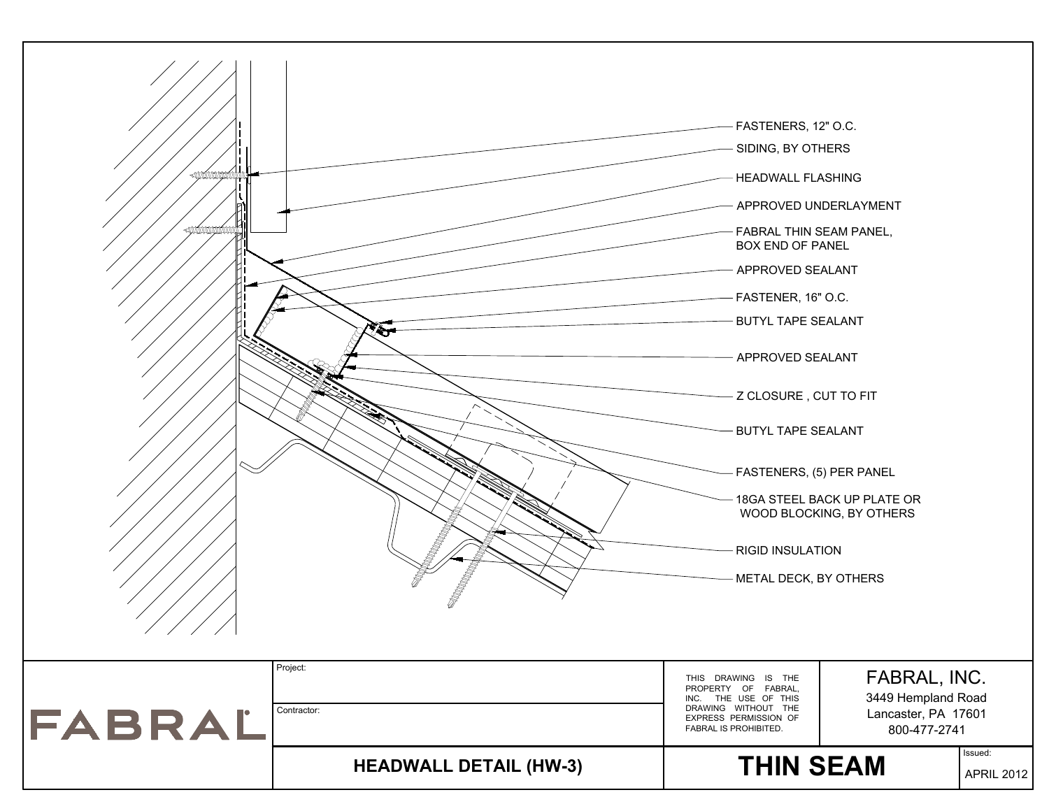![](_page_14_Figure_0.jpeg)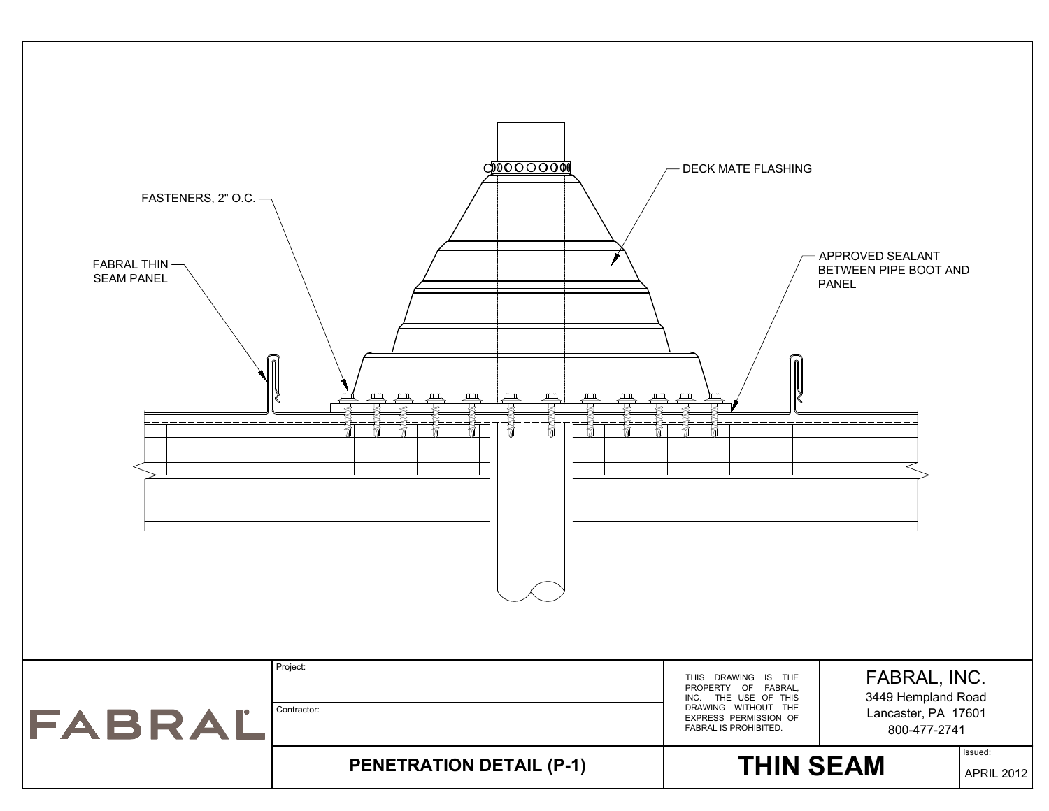![](_page_15_Figure_0.jpeg)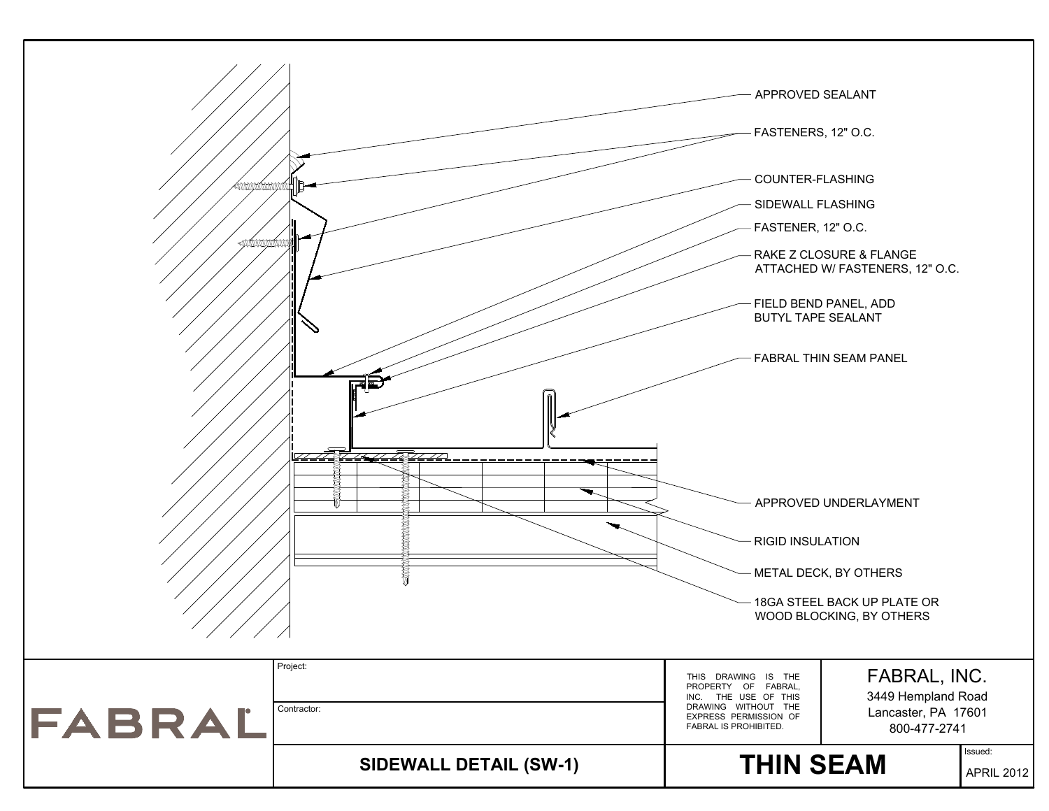![](_page_16_Figure_0.jpeg)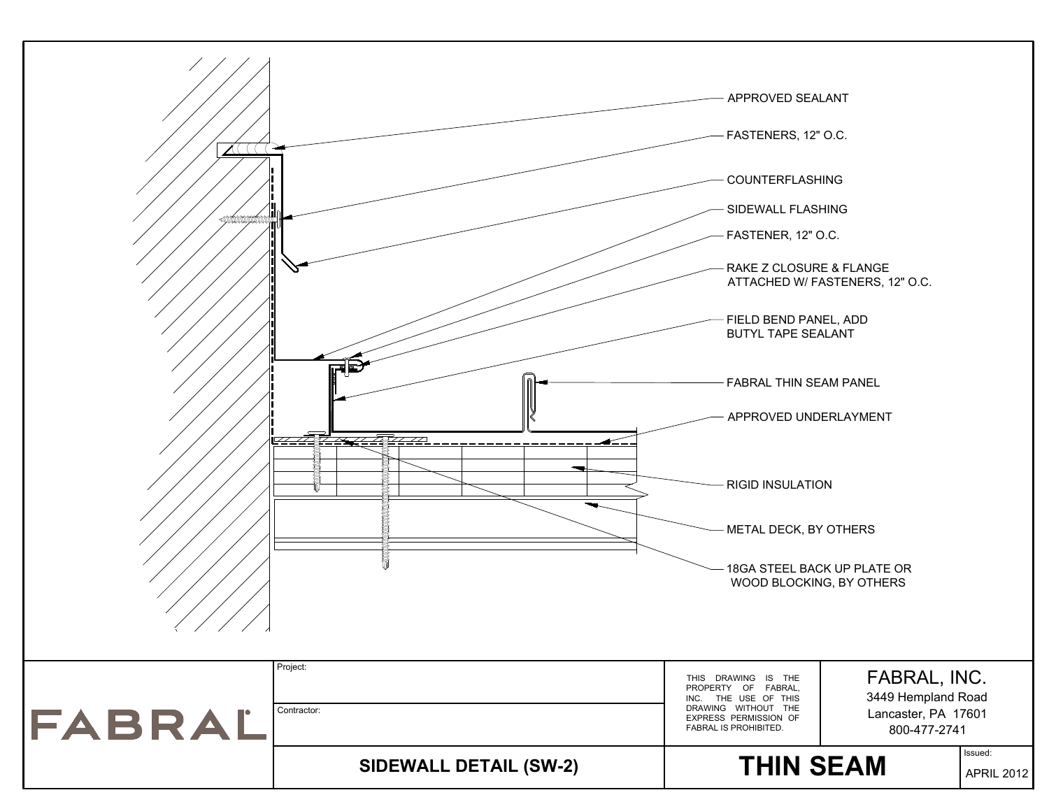![](_page_17_Figure_0.jpeg)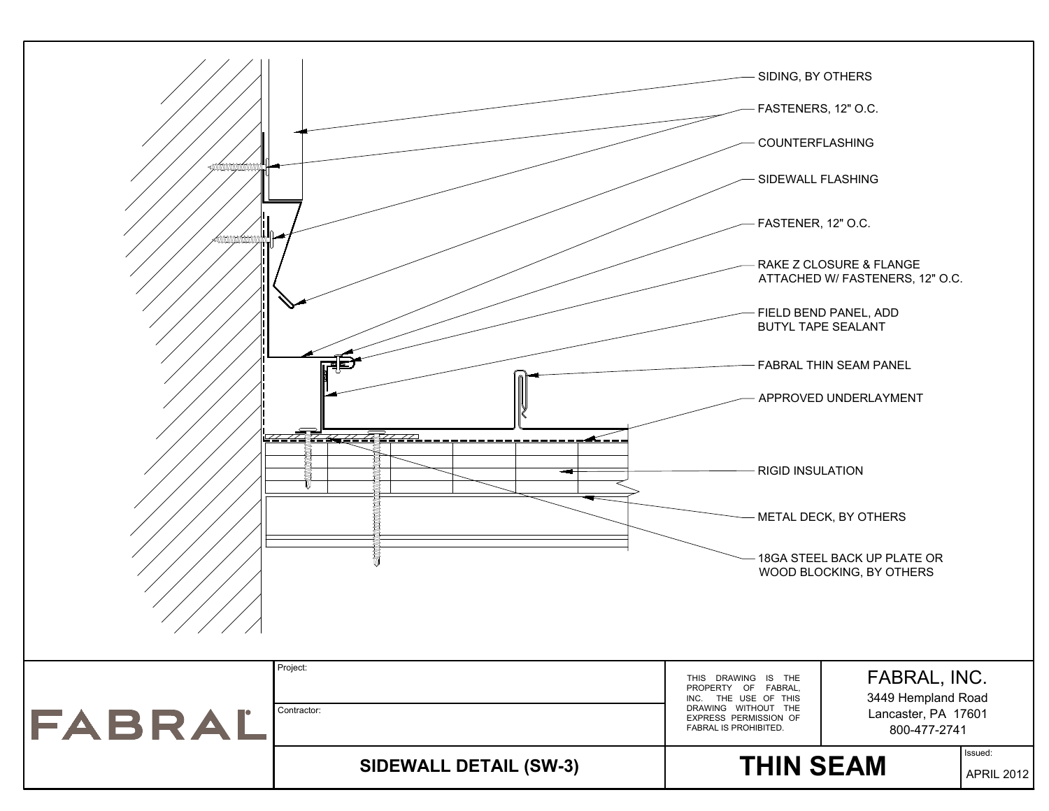![](_page_18_Figure_0.jpeg)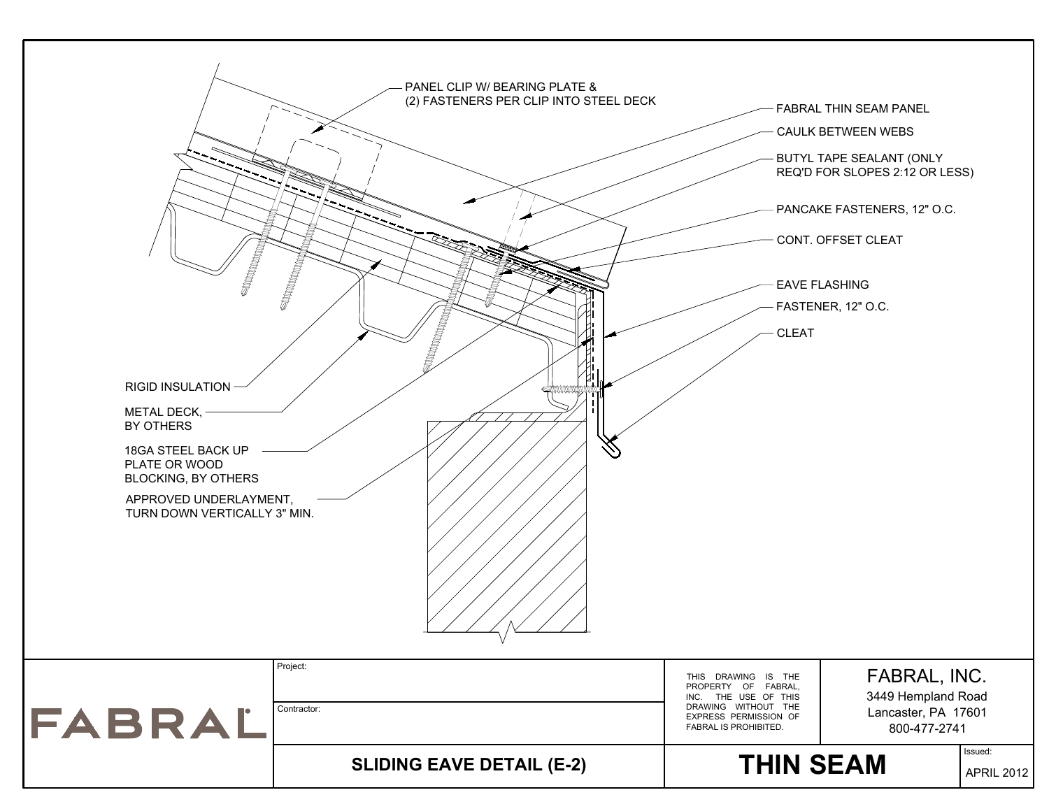![](_page_19_Figure_0.jpeg)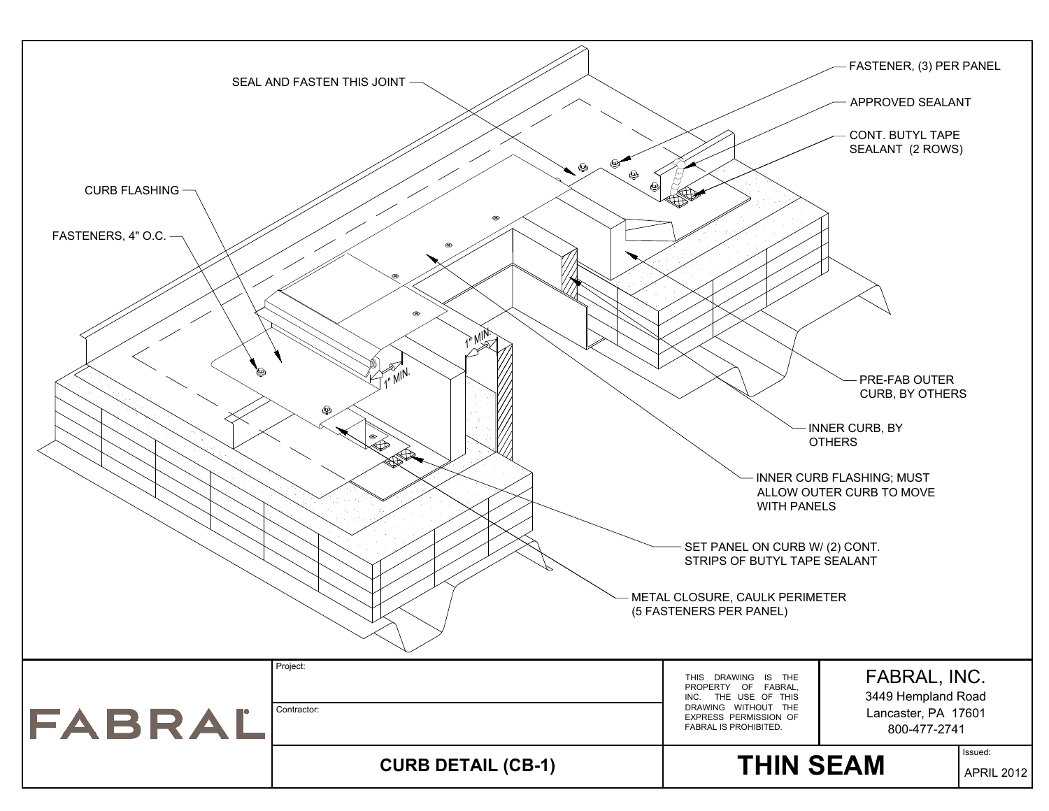![](_page_20_Figure_0.jpeg)